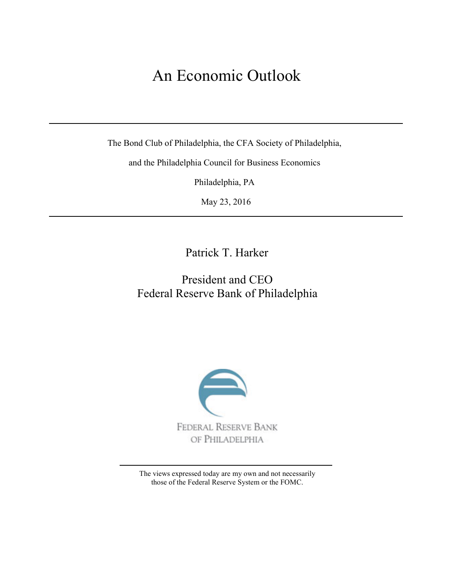# An Economic Outlook

The Bond Club of Philadelphia, the CFA Society of Philadelphia,

and the Philadelphia Council for Business Economics

Philadelphia, PA

May 23, 2016

Patrick T. Harker

# President and CEO Federal Reserve Bank of Philadelphia



The views expressed today are my own and not necessarily those of the Federal Reserve System or the FOMC.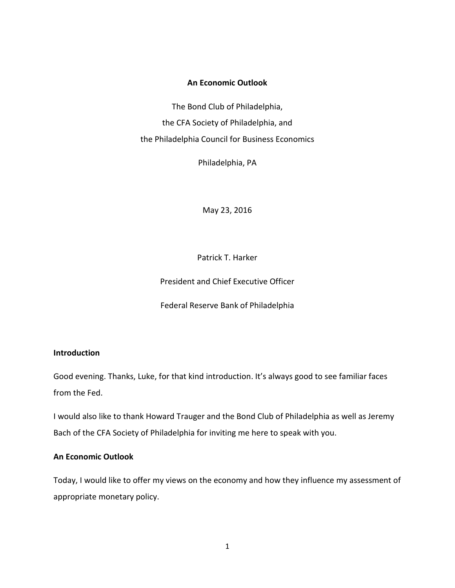# **An Economic Outlook**

The Bond Club of Philadelphia, the CFA Society of Philadelphia, and the Philadelphia Council for Business Economics

Philadelphia, PA

May 23, 2016

Patrick T. Harker

President and Chief Executive Officer

Federal Reserve Bank of Philadelphia

# **Introduction**

Good evening. Thanks, Luke, for that kind introduction. It's always good to see familiar faces from the Fed.

I would also like to thank Howard Trauger and the Bond Club of Philadelphia as well as Jeremy Bach of the CFA Society of Philadelphia for inviting me here to speak with you.

#### **An Economic Outlook**

Today, I would like to offer my views on the economy and how they influence my assessment of appropriate monetary policy.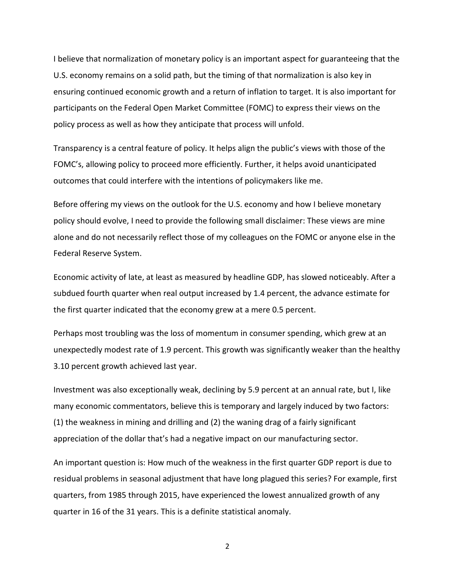I believe that normalization of monetary policy is an important aspect for guaranteeing that the U.S. economy remains on a solid path, but the timing of that normalization is also key in ensuring continued economic growth and a return of inflation to target. It is also important for participants on the Federal Open Market Committee (FOMC) to express their views on the policy process as well as how they anticipate that process will unfold.

Transparency is a central feature of policy. It helps align the public's views with those of the FOMC's, allowing policy to proceed more efficiently. Further, it helps avoid unanticipated outcomes that could interfere with the intentions of policymakers like me.

Before offering my views on the outlook for the U.S. economy and how I believe monetary policy should evolve, I need to provide the following small disclaimer: These views are mine alone and do not necessarily reflect those of my colleagues on the FOMC or anyone else in the Federal Reserve System.

Economic activity of late, at least as measured by headline GDP, has slowed noticeably. After a subdued fourth quarter when real output increased by 1.4 percent, the advance estimate for the first quarter indicated that the economy grew at a mere 0.5 percent.

Perhaps most troubling was the loss of momentum in consumer spending, which grew at an unexpectedly modest rate of 1.9 percent. This growth was significantly weaker than the healthy 3.10 percent growth achieved last year.

Investment was also exceptionally weak, declining by 5.9 percent at an annual rate, but I, like many economic commentators, believe this is temporary and largely induced by two factors: (1) the weakness in mining and drilling and (2) the waning drag of a fairly significant appreciation of the dollar that's had a negative impact on our manufacturing sector.

An important question is: How much of the weakness in the first quarter GDP report is due to residual problems in seasonal adjustment that have long plagued this series? For example, first quarters, from 1985 through 2015, have experienced the lowest annualized growth of any quarter in 16 of the 31 years. This is a definite statistical anomaly.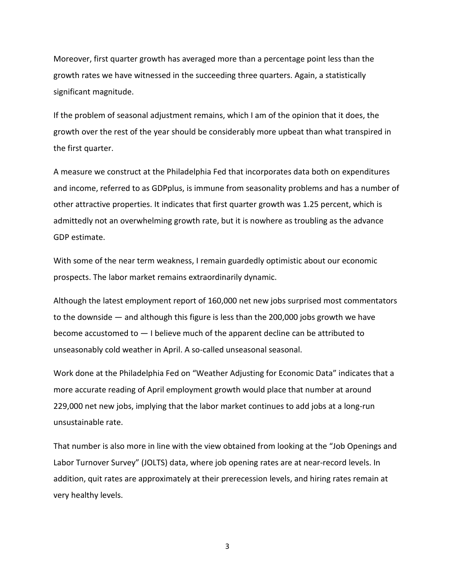Moreover, first quarter growth has averaged more than a percentage point less than the growth rates we have witnessed in the succeeding three quarters. Again, a statistically significant magnitude.

If the problem of seasonal adjustment remains, which I am of the opinion that it does, the growth over the rest of the year should be considerably more upbeat than what transpired in the first quarter.

A measure we construct at the Philadelphia Fed that incorporates data both on expenditures and income, referred to as GDPplus, is immune from seasonality problems and has a number of other attractive properties. It indicates that first quarter growth was 1.25 percent, which is admittedly not an overwhelming growth rate, but it is nowhere as troubling as the advance GDP estimate.

With some of the near term weakness, I remain guardedly optimistic about our economic prospects. The labor market remains extraordinarily dynamic.

Although the latest employment report of 160,000 net new jobs surprised most commentators to the downside — and although this figure is less than the 200,000 jobs growth we have become accustomed to — I believe much of the apparent decline can be attributed to unseasonably cold weather in April. A so-called unseasonal seasonal.

Work done at the Philadelphia Fed on "Weather Adjusting for Economic Data" indicates that a more accurate reading of April employment growth would place that number at around 229,000 net new jobs, implying that the labor market continues to add jobs at a long-run unsustainable rate.

That number is also more in line with the view obtained from looking at the "Job Openings and Labor Turnover Survey" (JOLTS) data, where job opening rates are at near-record levels. In addition, quit rates are approximately at their prerecession levels, and hiring rates remain at very healthy levels.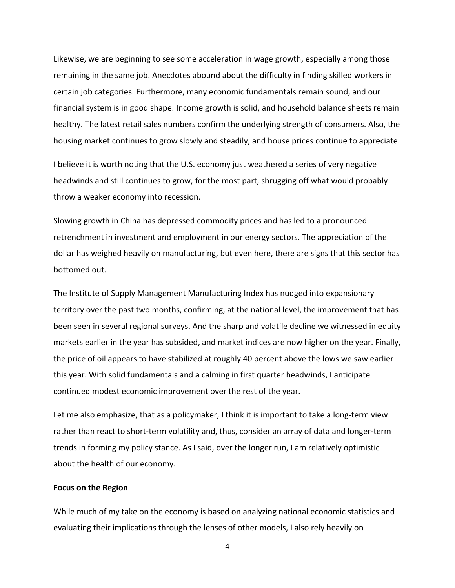Likewise, we are beginning to see some acceleration in wage growth, especially among those remaining in the same job. Anecdotes abound about the difficulty in finding skilled workers in certain job categories. Furthermore, many economic fundamentals remain sound, and our financial system is in good shape. Income growth is solid, and household balance sheets remain healthy. The latest retail sales numbers confirm the underlying strength of consumers. Also, the housing market continues to grow slowly and steadily, and house prices continue to appreciate.

I believe it is worth noting that the U.S. economy just weathered a series of very negative headwinds and still continues to grow, for the most part, shrugging off what would probably throw a weaker economy into recession.

Slowing growth in China has depressed commodity prices and has led to a pronounced retrenchment in investment and employment in our energy sectors. The appreciation of the dollar has weighed heavily on manufacturing, but even here, there are signs that this sector has bottomed out.

The Institute of Supply Management Manufacturing Index has nudged into expansionary territory over the past two months, confirming, at the national level, the improvement that has been seen in several regional surveys. And the sharp and volatile decline we witnessed in equity markets earlier in the year has subsided, and market indices are now higher on the year. Finally, the price of oil appears to have stabilized at roughly 40 percent above the lows we saw earlier this year. With solid fundamentals and a calming in first quarter headwinds, I anticipate continued modest economic improvement over the rest of the year.

Let me also emphasize, that as a policymaker, I think it is important to take a long-term view rather than react to short-term volatility and, thus, consider an array of data and longer-term trends in forming my policy stance. As I said, over the longer run, I am relatively optimistic about the health of our economy.

#### **Focus on the Region**

While much of my take on the economy is based on analyzing national economic statistics and evaluating their implications through the lenses of other models, I also rely heavily on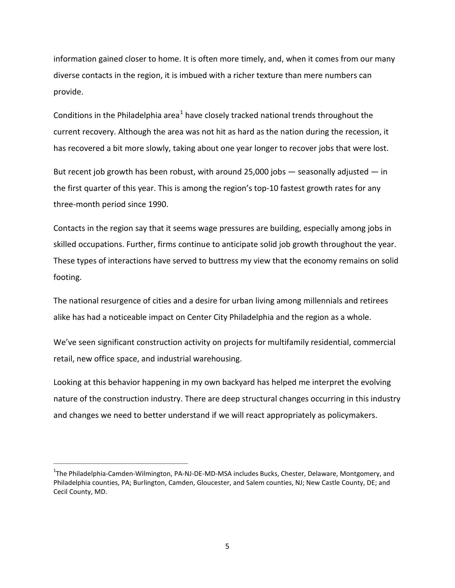information gained closer to home. It is often more timely, and, when it comes from our many diverse contacts in the region, it is imbued with a richer texture than mere numbers can provide.

Conditions in the Philadelphia area<sup>[1](#page-5-0)</sup> have closely tracked national trends throughout the current recovery. Although the area was not hit as hard as the nation during the recession, it has recovered a bit more slowly, taking about one year longer to recover jobs that were lost.

But recent job growth has been robust, with around 25,000 jobs  $-$  seasonally adjusted  $-$  in the first quarter of this year. This is among the region's top-10 fastest growth rates for any three-month period since 1990.

Contacts in the region say that it seems wage pressures are building, especially among jobs in skilled occupations. Further, firms continue to anticipate solid job growth throughout the year. These types of interactions have served to buttress my view that the economy remains on solid footing.

The national resurgence of cities and a desire for urban living among millennials and retirees alike has had a noticeable impact on Center City Philadelphia and the region as a whole.

We've seen significant construction activity on projects for multifamily residential, commercial retail, new office space, and industrial warehousing.

Looking at this behavior happening in my own backyard has helped me interpret the evolving nature of the construction industry. There are deep structural changes occurring in this industry and changes we need to better understand if we will react appropriately as policymakers.

\_\_\_\_\_\_\_\_\_\_\_\_\_\_\_\_\_\_\_\_\_\_\_\_\_\_\_\_\_\_\_\_\_\_\_\_\_\_\_\_\_\_\_\_\_\_\_\_\_\_\_\_\_\_\_\_

<span id="page-5-0"></span><sup>&</sup>lt;sup>1</sup>The Philadelphia-Camden-Wilmington, PA-NJ-DE-MD-MSA includes Bucks, Chester, Delaware, Montgomery, and Philadelphia counties, PA; Burlington, Camden, Gloucester, and Salem counties, NJ; New Castle County, DE; and Cecil County, MD.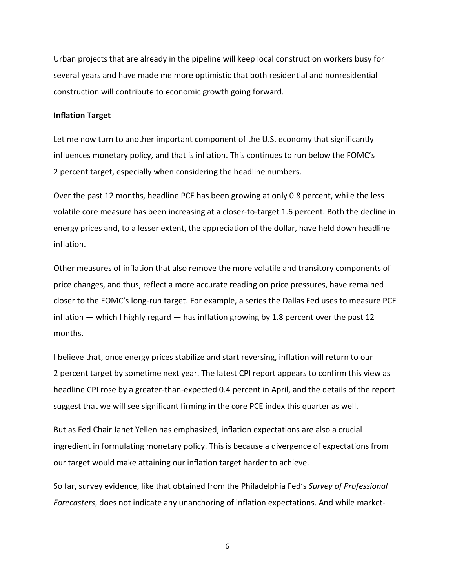Urban projects that are already in the pipeline will keep local construction workers busy for several years and have made me more optimistic that both residential and nonresidential construction will contribute to economic growth going forward.

#### **Inflation Target**

Let me now turn to another important component of the U.S. economy that significantly influences monetary policy, and that is inflation. This continues to run below the FOMC's 2 percent target, especially when considering the headline numbers.

Over the past 12 months, headline PCE has been growing at only 0.8 percent, while the less volatile core measure has been increasing at a closer-to-target 1.6 percent. Both the decline in energy prices and, to a lesser extent, the appreciation of the dollar, have held down headline inflation.

Other measures of inflation that also remove the more volatile and transitory components of price changes, and thus, reflect a more accurate reading on price pressures, have remained closer to the FOMC's long-run target. For example, a series the Dallas Fed uses to measure PCE inflation  $-$  which I highly regard  $-$  has inflation growing by 1.8 percent over the past 12 months.

I believe that, once energy prices stabilize and start reversing, inflation will return to our 2 percent target by sometime next year. The latest CPI report appears to confirm this view as headline CPI rose by a greater-than-expected 0.4 percent in April, and the details of the report suggest that we will see significant firming in the core PCE index this quarter as well.

But as Fed Chair Janet Yellen has emphasized, inflation expectations are also a crucial ingredient in formulating monetary policy. This is because a divergence of expectations from our target would make attaining our inflation target harder to achieve.

So far, survey evidence, like that obtained from the Philadelphia Fed's *Survey of Professional Forecasters*, does not indicate any unanchoring of inflation expectations. And while market-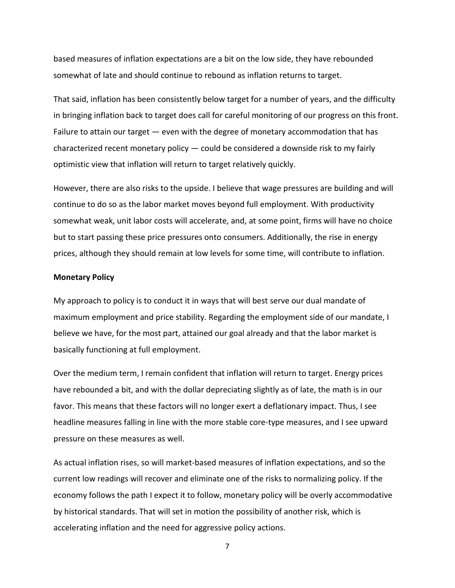based measures of inflation expectations are a bit on the low side, they have rebounded somewhat of late and should continue to rebound as inflation returns to target.

That said, inflation has been consistently below target for a number of years, and the difficulty in bringing inflation back to target does call for careful monitoring of our progress on this front. Failure to attain our target — even with the degree of monetary accommodation that has characterized recent monetary policy — could be considered a downside risk to my fairly optimistic view that inflation will return to target relatively quickly.

However, there are also risks to the upside. I believe that wage pressures are building and will continue to do so as the labor market moves beyond full employment. With productivity somewhat weak, unit labor costs will accelerate, and, at some point, firms will have no choice but to start passing these price pressures onto consumers. Additionally, the rise in energy prices, although they should remain at low levels for some time, will contribute to inflation.

#### **Monetary Policy**

My approach to policy is to conduct it in ways that will best serve our dual mandate of maximum employment and price stability. Regarding the employment side of our mandate, I believe we have, for the most part, attained our goal already and that the labor market is basically functioning at full employment.

Over the medium term, I remain confident that inflation will return to target. Energy prices have rebounded a bit, and with the dollar depreciating slightly as of late, the math is in our favor. This means that these factors will no longer exert a deflationary impact. Thus, I see headline measures falling in line with the more stable core-type measures, and I see upward pressure on these measures as well.

As actual inflation rises, so will market-based measures of inflation expectations, and so the current low readings will recover and eliminate one of the risks to normalizing policy. If the economy follows the path I expect it to follow, monetary policy will be overly accommodative by historical standards. That will set in motion the possibility of another risk, which is accelerating inflation and the need for aggressive policy actions.